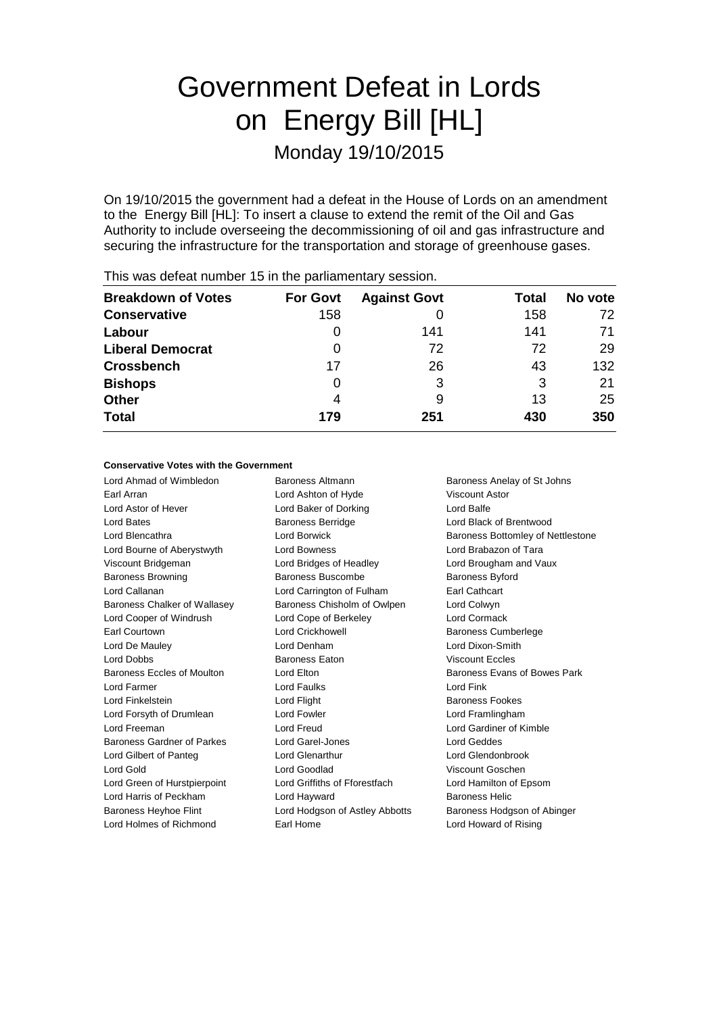# Government Defeat in Lords on Energy Bill [HL] Monday 19/10/2015

On 19/10/2015 the government had a defeat in the House of Lords on an amendment to the Energy Bill [HL]: To insert a clause to extend the remit of the Oil and Gas Authority to include overseeing the decommissioning of oil and gas infrastructure and securing the infrastructure for the transportation and storage of greenhouse gases.

| <b>Breakdown of Votes</b> | <b>For Govt</b> | <b>Against Govt</b> | Total | No vote |
|---------------------------|-----------------|---------------------|-------|---------|
| <b>Conservative</b>       | 158             |                     | 158   | 72      |
| Labour                    |                 | 141                 | 141   | 71      |
| <b>Liberal Democrat</b>   | 0               | 72                  | 72    | 29      |
| <b>Crossbench</b>         | 17              | 26                  | 43    | 132     |
| <b>Bishops</b>            | O               | 3                   | 3     | 21      |
| <b>Other</b>              | 4               | 9                   | 13    | 25      |
| <b>Total</b>              | 179             | 251                 | 430   | 350     |
|                           |                 |                     |       |         |

This was defeat number 15 in the parliamentary session.

### **Conservative Votes with the Government**

Lord Ahmad of Wimbledon Baroness Altmann Baroness Anelay of St Johns Earl Arran **Earl Arran Communist Constructs** Lord Ashton of Hyde **Viscount Astor** Lord Astor of Hever Lord Baker of Dorking Lord Balfe Lord Bates Baroness Berridge Lord Black of Brentwood Lord Blencathra **Lord Borwick** Baroness Bottomley of Nettlestone Lord Bourne of Aberystwyth Lord Bowness Lord Brabazon of Tara Viscount Bridgeman Lord Bridges of Headley Lord Brougham and Vaux Baroness Browning Baroness Buscombe Baroness Byford Lord Callanan Lord Carrington of Fulham Earl Cathcart Baroness Chalker of Wallasey Baroness Chisholm of Owlpen Lord Colwyn Lord Cooper of Windrush Lord Cope of Berkeley Lord Cormack Earl Courtown **Lord Crickhowell Lord Crickhowell Baroness Cumberlege** Lord De Mauley Lord Denham Lord Dixon-Smith Lord Dobbs Baroness Eaton Viscount Eccles Baroness Eccles of Moulton **Lord Elton Lord Elton** Baroness Evans of Bowes Park Lord Farmer Lord Faulks Lord Fink Lord Finkelstein **Lord Flight** Baroness Fookes Lord Forsyth of Drumlean Lord Fowler Lord Forsyth and Lord Framlingham Lord Freeman Lord Freud Lord Gardiner of Kimble Baroness Gardner of Parkes Lord Garel-Jones Lord Geddes Lord Gilbert of Panteg **Lord Glenarthur** Lord Glenarthur Lord Glendonbrook Lord Gold Lord Goodlad Viscount Goschen Lord Green of Hurstpierpoint Lord Griffiths of Fforestfach Lord Hamilton of Epsom Lord Harris of Peckham **Lord Hayward** Baroness Helic Baroness Heyhoe Flint Lord Hodgson of Astley Abbotts Baroness Hodgson of Abinger Lord Holmes of Richmond Earl Home Lord Howard of Rising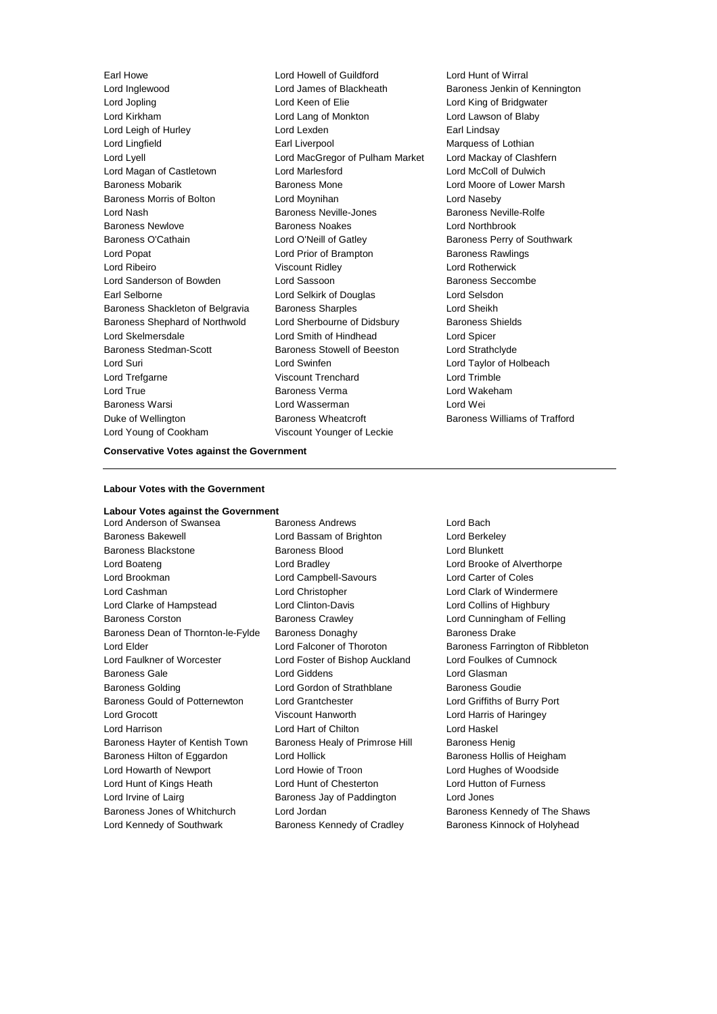Lord Inglewood Lord James of Blackheath Baroness Jenkin of Kennington Lord Jopling Lord Keen of Elie Lord King of Bridgwater Lord Kirkham Lord Lang of Monkton Lord Lawson of Blaby Lord Leigh of Hurley **Lord Lexden** Lord Lexden **Earl Lindsay** Lord Lingfield Earl Liverpool Marquess of Lothian Lord Lyell Lord MacGregor of Pulham Market Lord Mackay of Clashfern Lord Magan of Castletown Lord Marlesford Lord McColl of Dulwich Baroness Mobarik **Baroness Mone** Baroness Mone Lord Moore of Lower Marsh Baroness Morris of Bolton Lord Moynihan Lord Naseby Lord Nash **Baroness Neville-Jones** Baroness Neville-Rolfe Baroness Newlove Baroness Noakes Lord Northbrook Baroness O'Cathain **Lord O'Neill of Gatley Baroness Perry of Southwark** Lord Popat **Lord Prior of Brampton** Baroness Rawlings Lord Ribeiro Viscount Ridley Lord Rotherwick Lord Sanderson of Bowden Lord Sassoon and Baroness Seccombe Earl Selborne Lord Selkirk of Douglas Lord Selsdon Baroness Shackleton of Belgravia Baroness Sharples **Lord Sheikh** Baroness Shephard of Northwold Lord Sherbourne of Didsbury Baroness Shields Lord Skelmersdale Lord Smith of Hindhead Lord Spicer Baroness Stedman-Scott **Baroness Stowell of Beeston** Lord Strathclyde Lord Suri Lord Swinfen Lord Taylor of Holbeach Lord Trefgarne Viscount Trenchard Lord Trimble Lord True Baroness Verma Lord Wakeham Baroness Warsi Lord Wasserman Lord Wei Duke of Wellington Baroness Wheatcroft Baroness Williams of Trafford Lord Young of Cookham Viscount Younger of Leckie

Earl Howe Lord Howell of Guildford Lord Hunt of Wirral

# **Conservative Votes against the Government**

#### **Labour Votes with the Government**

# **Labour Votes against the Government**

Lord Anderson of Swansea Baroness Andrews Lord Bach Baroness Bakewell Lord Bassam of Brighton Lord Berkeley Baroness Blackstone Baroness Blood Lord Blunkett Lord Boateng Lord Bradley Lord Brooke of Alverthorpe Lord Brookman Lord Campbell-Savours Lord Carter of Coles Lord Cashman Lord Christopher Lord Clark of Windermere Lord Clarke of Hampstead Lord Clinton-Davis Lord Collins of Highbury Baroness Corston Baroness Crawley Lord Cunningham of Felling Baroness Dean of Thornton-le-Fylde Baroness Donaghy Baroness Drake Lord Elder **Lord Falconer of Thoroton** Baroness Farrington of Ribbleton Lord Faulkner of Worcester Lord Foster of Bishop Auckland Lord Foulkes of Cumnock Baroness Gale Lord Giddens Lord Glasman Baroness Golding Lord Gordon of Strathblane Baroness Goudie Baroness Gould of Potternewton Lord Grantchester **Lord Griffiths of Burry Port** Lord Grocott Viscount Hanworth Lord Harris of Haringey Lord Harrison Lord Hart of Chilton Lord Haskel Baroness Hayter of Kentish Town Baroness Healy of Primrose Hill Baroness Henig Baroness Hilton of Eggardon Lord Hollick **Baroness Hollis of Heigham** Lord Howarth of Newport Lord Howie of Troon Lord Hughes of Woodside Lord Hunt of Kings Heath Lord Hunt of Chesterton Lord Hutton of Furness Lord Irvine of Lairg **Baroness Jay of Paddington** Lord Jones Baroness Jones of Whitchurch Lord Jordan Baroness Kennedy of The Shaws

Lord Kennedy of Southwark Baroness Kennedy of Cradley Baroness Kinnock of Holyhead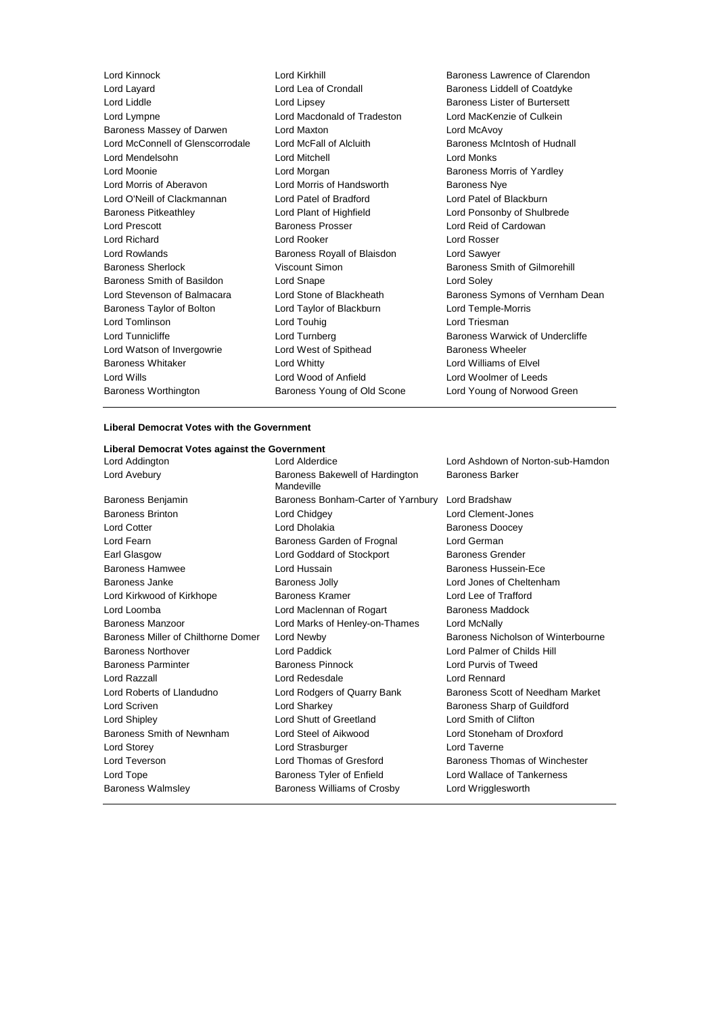| Lord Kinnock                     | Lord Kirkhill               | Baroness Lawrence of Claren          |
|----------------------------------|-----------------------------|--------------------------------------|
| Lord Layard                      | Lord Lea of Crondall        | Baroness Liddell of Coatdyke         |
| Lord Liddle                      | Lord Lipsey                 | <b>Baroness Lister of Burtersett</b> |
| Lord Lympne                      | Lord Macdonald of Tradeston | Lord MacKenzie of Culkein            |
| Baroness Massey of Darwen        | Lord Maxton                 | Lord McAvoy                          |
| Lord McConnell of Glenscorrodale | Lord McFall of Alcluith     | Baroness McIntosh of Hudnall         |
| Lord Mendelsohn                  | Lord Mitchell               | Lord Monks                           |
| Lord Moonie                      | Lord Morgan                 | Baroness Morris of Yardley           |
| Lord Morris of Aberavon          | Lord Morris of Handsworth   | <b>Baroness Nye</b>                  |
| Lord O'Neill of Clackmannan      | Lord Patel of Bradford      | Lord Patel of Blackburn              |
| <b>Baroness Pitkeathley</b>      | Lord Plant of Highfield     | Lord Ponsonby of Shulbrede           |
| <b>Lord Prescott</b>             | <b>Baroness Prosser</b>     | Lord Reid of Cardowan                |
| Lord Richard                     | Lord Rooker                 | Lord Rosser                          |
| Lord Rowlands                    | Baroness Royall of Blaisdon | Lord Sawyer                          |
| <b>Baroness Sherlock</b>         | Viscount Simon              | <b>Baroness Smith of Gilmorehill</b> |
| Baroness Smith of Basildon       | Lord Snape                  | Lord Soley                           |
| Lord Stevenson of Balmacara      | Lord Stone of Blackheath    | Baroness Symons of Vernhan           |
| Baroness Taylor of Bolton        | Lord Taylor of Blackburn    | Lord Temple-Morris                   |
| Lord Tomlinson                   | Lord Touhig                 | Lord Triesman                        |
| Lord Tunnicliffe                 | Lord Turnberg               | Baroness Warwick of Undercl          |
| Lord Watson of Invergowrie       | Lord West of Spithead       | <b>Baroness Wheeler</b>              |
| <b>Baroness Whitaker</b>         | Lord Whitty                 | Lord Williams of Elvel               |
| Lord Wills                       | Lord Wood of Anfield        | Lord Woolmer of Leeds                |
| Baroness Worthington             | Baroness Young of Old Scone | Lord Young of Norwood Greer          |
|                                  |                             |                                      |

e of Clarendon<br>f Coatdyke of Vernham Dean of Undercliffe wood Green

# **Liberal Democrat Votes with the Government**

# **Liberal Democrat Votes against the Government**

| Lord Addington                      | Lord Alderdice                                | Lord Ashdown of Norton-sub-Hamdon  |
|-------------------------------------|-----------------------------------------------|------------------------------------|
| Lord Avebury                        | Baroness Bakewell of Hardington<br>Mandeville | <b>Baroness Barker</b>             |
| Baroness Benjamin                   | Baroness Bonham-Carter of Yarnbury            | Lord Bradshaw                      |
| <b>Baroness Brinton</b>             | Lord Chidgey                                  | Lord Clement-Jones                 |
| Lord Cotter                         | Lord Dholakia                                 | <b>Baroness Doocey</b>             |
| Lord Fearn                          | Baroness Garden of Frognal                    | Lord German                        |
| Earl Glasgow                        | Lord Goddard of Stockport                     | <b>Baroness Grender</b>            |
| <b>Baroness Hamwee</b>              | Lord Hussain                                  | <b>Baroness Hussein-Ece</b>        |
| Baroness Janke                      | <b>Baroness Jolly</b>                         | Lord Jones of Cheltenham           |
| Lord Kirkwood of Kirkhope           | <b>Baroness Kramer</b>                        | Lord Lee of Trafford               |
| Lord Loomba                         | Lord Maclennan of Rogart                      | <b>Baroness Maddock</b>            |
| <b>Baroness Manzoor</b>             | Lord Marks of Henley-on-Thames                | Lord McNally                       |
| Baroness Miller of Chilthorne Domer | Lord Newby                                    | Baroness Nicholson of Winterbourne |
| Baroness Northover                  | Lord Paddick                                  | Lord Palmer of Childs Hill         |
| Baroness Parminter                  | <b>Baroness Pinnock</b>                       | Lord Purvis of Tweed               |
| Lord Razzall                        | Lord Redesdale                                | Lord Rennard                       |
| Lord Roberts of Llandudno           | Lord Rodgers of Quarry Bank                   | Baroness Scott of Needham Market   |
| Lord Scriven                        | Lord Sharkey                                  | Baroness Sharp of Guildford        |
| Lord Shipley                        | Lord Shutt of Greetland                       | Lord Smith of Clifton              |
| Baroness Smith of Newnham           | Lord Steel of Aikwood                         | Lord Stoneham of Droxford          |
| Lord Storey                         | Lord Strasburger                              | <b>Lord Taverne</b>                |
| Lord Teverson                       | Lord Thomas of Gresford                       | Baroness Thomas of Winchester      |
| Lord Tope                           | Baroness Tyler of Enfield                     | Lord Wallace of Tankerness         |
| Baroness Walmsley                   | <b>Baroness Williams of Crosby</b>            | Lord Wrigglesworth                 |
|                                     |                                               |                                    |